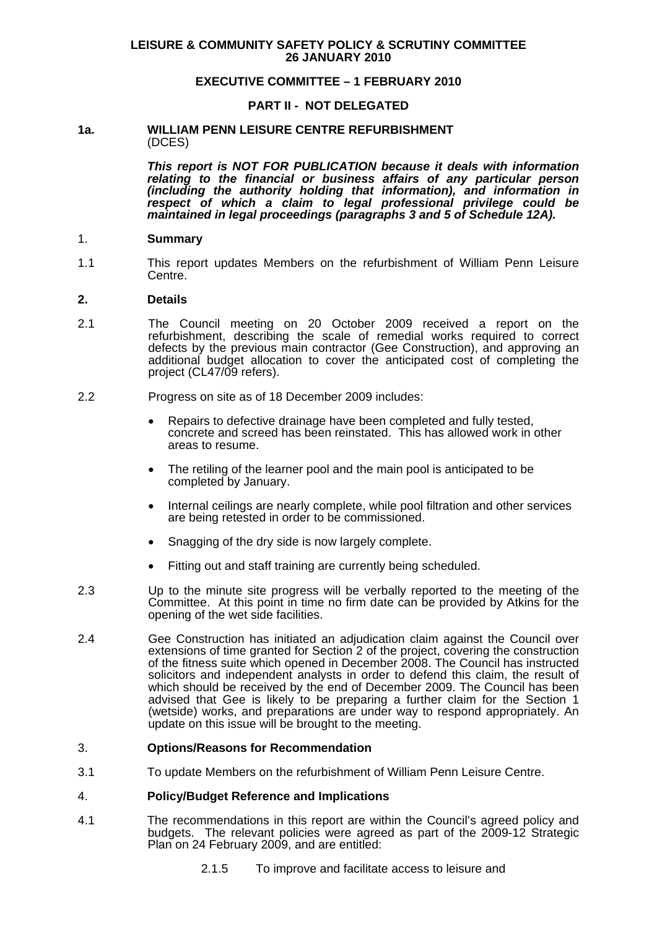### **EXECUTIVE COMMITTEE – 1 FEBRUARY 2010**

#### **PART II - NOT DELEGATED**

#### **1a. WILLIAM PENN LEISURE CENTRE REFURBISHMENT**  (DCES)

*This report is NOT FOR PUBLICATION because it deals with information relating to the financial or business affairs of any particular person (including the authority holding that information), and information in respect of which a claim to legal professional privilege could be maintained in legal proceedings (paragraphs 3 and 5 of Schedule 12A).*

#### 1. **Summary**

1.1 This report updates Members on the refurbishment of William Penn Leisure Centre.

#### **2. Details**

- 2.1 The Council meeting on 20 October 2009 received a report on the refurbishment, describing the scale of remedial works required to correct defects by the previous main contractor (Gee Construction), and approving an additional budget allocation to cover the anticipated cost of completing the project (CL47/09 refers).
- 2.2 Progress on site as of 18 December 2009 includes:
	- Repairs to defective drainage have been completed and fully tested, concrete and screed has been reinstated. This has allowed work in other areas to resume.
	- The retiling of the learner pool and the main pool is anticipated to be completed by January.
	- Internal ceilings are nearly complete, while pool filtration and other services are being retested in order to be commissioned.
	- Snagging of the dry side is now largely complete.
	- Fitting out and staff training are currently being scheduled.
- 2.3 Up to the minute site progress will be verbally reported to the meeting of the Committee. At this point in time no firm date can be provided by Atkins for the opening of the wet side facilities.
- 2.4 Gee Construction has initiated an adjudication claim against the Council over extensions of time granted for Section 2 of the project, covering the construction of the fitness suite which opened in December 2008. The Council has instructed solicitors and independent analysts in order to defend this claim, the result of which should be received by the end of December 2009. The Council has been advised that Gee is likely to be preparing a further claim for the Section 1 (wetside) works, and preparations are under way to respond appropriately. An update on this issue will be brought to the meeting.

#### 3. **Options/Reasons for Recommendation**

3.1 To update Members on the refurbishment of William Penn Leisure Centre.

#### 4. **Policy/Budget Reference and Implications**

- 4.1 The recommendations in this report are within the Council's agreed policy and budgets. The relevant policies were agreed as part of the 2009-12 Strategic Plan on 24 February 2009, and are entitled:
	- 2.1.5 To improve and facilitate access to leisure and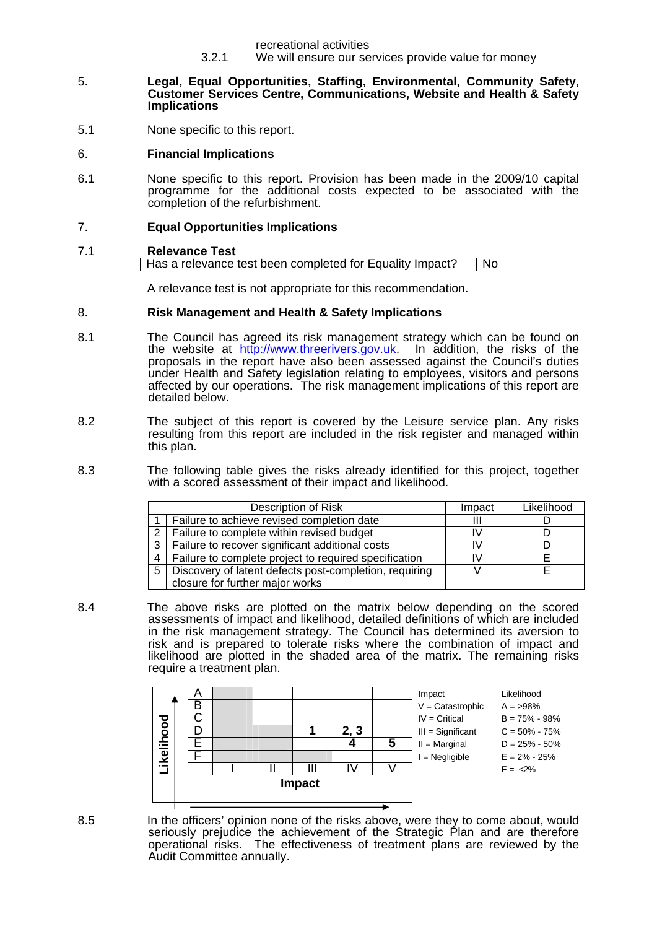recreational activities

3.2.1 We will ensure our services provide value for money

#### 5. **Legal, Equal Opportunities, Staffing, Environmental, Community Safety, Customer Services Centre, Communications, Website and Health & Safety Implications**

5.1 None specific to this report.

## 6. **Financial Implications**

6.1 None specific to this report. Provision has been made in the 2009/10 capital programme for the additional costs expected to be associated with the completion of the refurbishment.

## 7. **Equal Opportunities Implications**

## 7.1 **Relevance Test**  Has a relevance test been completed for Equality Impact? | No

A relevance test is not appropriate for this recommendation.

## 8. **Risk Management and Health & Safety Implications**

- 8.1 The Council has agreed its risk management strategy which can be found on<br>the website at http://www.threerivers.gov.uk. In addition, the risks of the the website at http://www.threerivers.gov.uk. proposals in the report have also been assessed against the Council's duties under Health and Safety legislation relating to employees, visitors and persons affected by our operations. The risk management implications of this report are detailed below.
- 8.2 The subject of this report is covered by the Leisure service plan. Any risks resulting from this report are included in the risk register and managed within this plan.
- 8.3 The following table gives the risks already identified for this project, together with a scored assessment of their impact and likelihood.

| Description of Risk |                                                        | Impact | Likelihood |
|---------------------|--------------------------------------------------------|--------|------------|
|                     | Failure to achieve revised completion date             | Ш      |            |
| $\overline{2}$      | Failure to complete within revised budget              | I٧     |            |
| 3                   | Failure to recover significant additional costs        | IV     |            |
| 4                   | Failure to complete project to required specification  | IV     |            |
| 5                   | Discovery of latent defects post-completion, requiring |        |            |
|                     | closure for further major works                        |        |            |

8.4 The above risks are plotted on the matrix below depending on the scored assessments of impact and likelihood, detailed definitions of which are included in the risk management strategy. The Council has determined its aversion to risk and is prepared to tolerate risks where the combination of impact and likelihood are plotted in the shaded area of the matrix. The remaining risks require a treatment plan.



8.5 In the officers' opinion none of the risks above, were they to come about, would seriously prejudice the achievement of the Strategic Plan and are therefore operational risks. The effectiveness of treatment plans are reviewed by the Audit Committee annually.